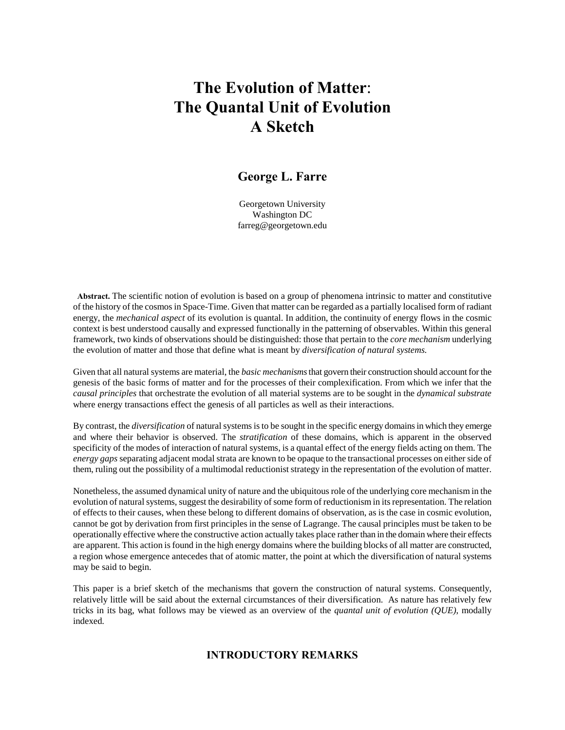# **The Evolution of Matter**: **The Quantal Unit of Evolution A Sketch**

# **George L. Farre**

Georgetown University Washington DC farreg@georgetown.edu

 **Abstract.** The scientific notion of evolution is based on a group of phenomena intrinsic to matter and constitutive of the history of the cosmos in Space-Time. Given that matter can be regarded as a partially localised form of radiant energy, the *mechanical aspect* of its evolution is quantal. In addition, the continuity of energy flows in the cosmic context is best understood causally and expressed functionally in the patterning of observables. Within this general framework, two kinds of observations should be distinguished: those that pertain to the *core mechanism* underlying the evolution of matter and those that define what is meant by *diversification of natural systems.*

Given that all natural systems are material, the *basic mechanisms* that govern their construction should account for the genesis of the basic forms of matter and for the processes of their complexification. From which we infer that the *causal principles* that orchestrate the evolution of all material systems are to be sought in the *dynamical substrate* where energy transactions effect the genesis of all particles as well as their interactions.

By contrast, the *diversification* of natural systems is to be sought in the specific energy domains in which they emerge and where their behavior is observed. The *stratification* of these domains, which is apparent in the observed specificity of the modes of interaction of natural systems, is a quantal effect of the energy fields acting on them. The *energy gaps* separating adjacent modal strata are known to be opaque to the transactional processes on either side of them, ruling out the possibility of a multimodal reductionist strategy in the representation of the evolution of matter.

Nonetheless, the assumed dynamical unity of nature and the ubiquitous role of the underlying core mechanism in the evolution of natural systems, suggest the desirability of some form of reductionism in its representation. The relation of effects to their causes, when these belong to different domains of observation, as is the case in cosmic evolution, cannot be got by derivation from first principles in the sense of Lagrange. The causal principles must be taken to be operationally effective where the constructive action actually takes place rather than in the domain where their effects are apparent. This action is found in the high energy domains where the building blocks of all matter are constructed, a region whose emergence antecedes that of atomic matter, the point at which the diversification of natural systems may be said to begin.

This paper is a brief sketch of the mechanisms that govern the construction of natural systems. Consequently, relatively little will be said about the external circumstances of their diversification. As nature has relatively few tricks in its bag, what follows may be viewed as an overview of the *quantal unit of evolution (QUE)*, modally indexed*.*

# **INTRODUCTORY REMARKS**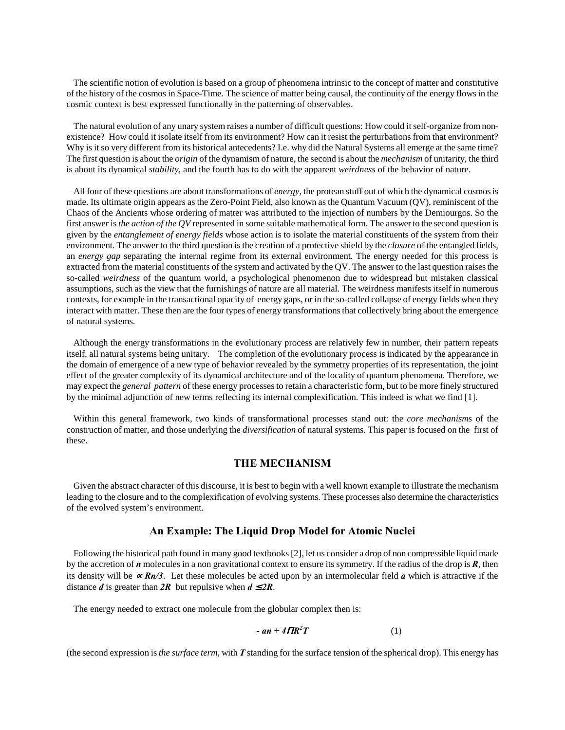The scientific notion of evolution is based on a group of phenomena intrinsic to the concept of matter and constitutive of the history of the cosmos in Space-Time. The science of matter being causal, the continuity of the energy flows in the cosmic context is best expressed functionally in the patterning of observables.

 The natural evolution of any unary system raises a number of difficult questions: How could it self-organize from nonexistence? How could it isolate itself from its environment? How can it resist the perturbations from that environment? Why is it so very different from its historical antecedents? I.e. why did the Natural Systems all emerge at the same time? The first question is about the *origin* of the dynamism of nature, the second is about the *mechanism* of unitarity, the third is about its dynamical *stability*, and the fourth has to do with the apparent *weirdness* of the behavior of nature.

 All four of these questions are about transformations of *energy*, the protean stuff out of which the dynamical cosmos is made. Its ultimate origin appears as the Zero-Point Field, also known as the Quantum Vacuum (QV), reminiscent of the Chaos of the Ancients whose ordering of matter was attributed to the injection of numbers by the Demiourgos. So the first answer is *the action of the QV* represented in some suitable mathematical form. The answer to the second question is given by the *entanglement of energy fields* whose action is to isolate the material constituents of the system from their environment. The answer to the third question is the creation of a protective shield by the *closure* of the entangled fields, an *energy gap* separating the internal regime from its external environment*.* The energy needed for this process is extracted from the material constituents of the system and activated by the QV. The answer to the last question raises the so-called *weirdness* of the quantum world, a psychological phenomenon due to widespread but mistaken classical assumptions, such as the view that the furnishings of nature are all material. The weirdness manifests itself in numerous contexts, for example in the transactional opacity of energy gaps, or in the so-called collapse of energy fields when they interact with matter. These then are the four types of energy transformations that collectively bring about the emergence of natural systems.

 Although the energy transformations in the evolutionary process are relatively few in number, their pattern repeats itself, all natural systems being unitary. The completion of the evolutionary process is indicated by the appearance in the domain of emergence of a new type of behavior revealed by the symmetry properties of its representation, the joint effect of the greater complexity of its dynamical architecture and of the locality of quantum phenomena. Therefore, we may expect the *general pattern* of these energy processes to retain a characteristic form, but to be more finely structured by the minimal adjunction of new terms reflecting its internal complexification. This indeed is what we find [1].

 Within this general framework, two kinds of transformational processes stand out: the *core mechanism*s of the construction of matter, and those underlying the *diversification* of natural systems*.* This paper is focused on the first of these.

# **THE MECHANISM**

 Given the abstract character of this discourse, it is best to begin with a well known example to illustrate the mechanism leading to the closure and to the complexification of evolving systems. These processes also determine the characteristics of the evolved system's environment.

#### **An Example: The Liquid Drop Model for Atomic Nuclei**

 Following the historical path found in many good textbooks [2], let us consider a drop of non compressible liquid made by the accretion of *n* molecules in a non gravitational context to ensure its symmetry. If the radius of the drop is *R*, then its density will be ∝ *Rn/3*. Let these molecules be acted upon by an intermolecular field *a* which is attractive if the distance *d* is greater than  $2R$  but repulsive when  $d \leq 2R$ .

The energy needed to extract one molecule from the globular complex then is:

$$
-an + 4\pi R^2 T \tag{1}
$$

(the second expression is *the surface term*, with *T* standing for the surface tension of the spherical drop). This energy has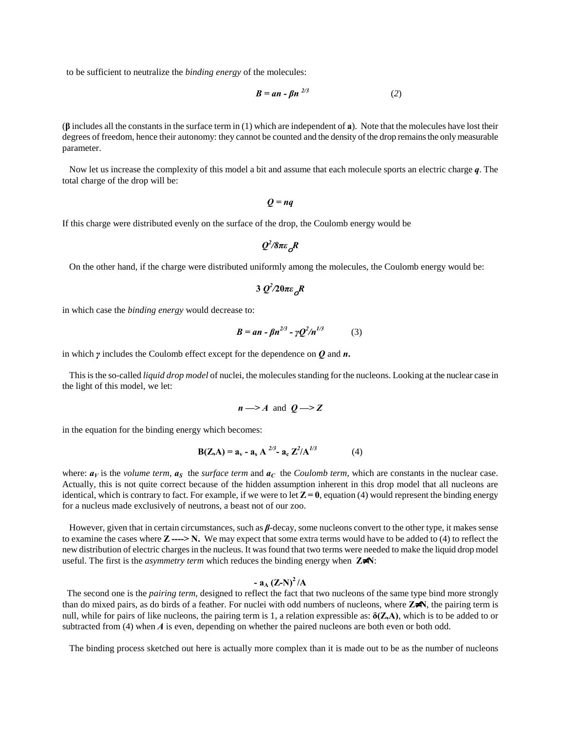to be sufficient to neutralize the *binding energy* of the molecules:

$$
B = an - \beta n^{2/3} \tag{2}
$$

(**β** includes all the constants in the surface term in (1) which are independent of **a**). Note that the molecules have lost their degrees of freedom, hence their autonomy: they cannot be counted and the density of the drop remains the only measurable parameter.

 Now let us increase the complexity of this model a bit and assume that each molecule sports an electric charge *q*. The total charge of the drop will be:

*Q = nq*

If this charge were distributed evenly on the surface of the drop, the Coulomb energy would be

$$
Q^2/8\pi\varepsilon_o R
$$

On the other hand, if the charge were distributed uniformly among the molecules, the Coulomb energy would be:

$$
3 Q^2/20\pi\varepsilon_o R
$$

in which case the *binding energy* would decrease to:

$$
B = an - \beta n^{2/3} - \gamma Q^2 / n^{1/3} \tag{3}
$$

in which *γ* includes the Coulomb effect except for the dependence on *Q* and *n***.**

 This is the so-called *liquid drop model* of nuclei, the molecules standing for the nucleons. Looking at the nuclear case in the light of this model, we let:

$$
n \rightarrow A
$$
 and  $Q \rightarrow Z$ 

in the equation for the binding energy which becomes:

$$
B(Z,A) = a_v - a_s A^{2/3} - a_c Z^2 / A^{1/3}
$$
 (4)

where:  $a_V$  is the *volume term*,  $a_S$  the *surface term* and  $a_C$  the *Coulomb term*, which are constants in the nuclear case. Actually, this is not quite correct because of the hidden assumption inherent in this drop model that all nucleons are identical, which is contrary to fact. For example, if we were to let  $\mathbb{Z}=0$ , equation (4) would represent the binding energy for a nucleus made exclusively of neutrons, a beast not of our zoo.

 However, given that in certain circumstances, such as *β*-decay, some nucleons convert to the other type, it makes sense to examine the cases where **Z ----> N.** We may expect that some extra terms would have to be added to (4) to reflect the new distribution of electric charges in the nucleus. It was found that two terms were needed to make the liquid drop model useful. The first is the *asymmetry term* which reduces the binding energy when **Z**≠**N**:

## $-$ **a**<sub>A</sub>  $(Z-N)^2/A$

 The second one is the *pairing term,* designed to reflect the fact that two nucleons of the same type bind more strongly than do mixed pairs, as do birds of a feather. For nuclei with odd numbers of nucleons, where **Z**≠**N**, the pairing term is null, while for pairs of like nucleons, the pairing term is 1, a relation expressible as: **δ(Z,A)**, which is to be added to or subtracted from  $(4)$  when  $A$  is even, depending on whether the paired nucleons are both even or both odd.

The binding process sketched out here is actually more complex than it is made out to be as the number of nucleons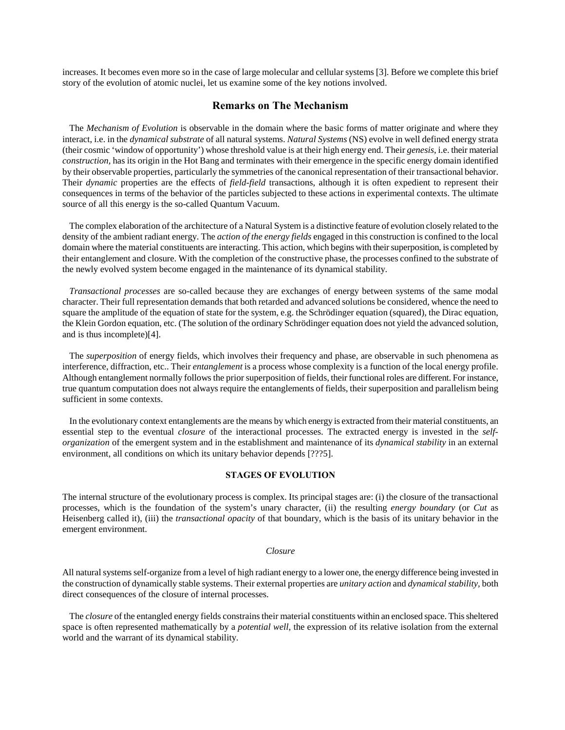increases. It becomes even more so in the case of large molecular and cellular systems [3]. Before we complete this brief story of the evolution of atomic nuclei, let us examine some of the key notions involved.

## **Remarks on The Mechanism**

 The *Mechanism of Evolution* is observable in the domain where the basic forms of matter originate and where they interact, i.e. in the *dynamical substrate* of all natural systems. *Natural Systems* (NS) evolve in well defined energy strata (their cosmic 'window of opportunity') whose threshold value is at their high energy end. Their *genesis*, i.e. their material *construction,* has its origin in the Hot Bang and terminates with their emergence in the specific energy domain identified by their observable properties, particularly the symmetries of the canonical representation of their transactional behavior. Their *dynamic* properties are the effects of *field-field* transactions, although it is often expedient to represent their consequences in terms of the behavior of the particles subjected to these actions in experimental contexts. The ultimate source of all this energy is the so-called Quantum Vacuum.

 The complex elaboration of the architecture of a Natural System is a distinctive feature of evolution closely related to the density of the ambient radiant energy. The *action of the energy fields* engaged in this construction is confined to the local domain where the material constituents are interacting. This action, which begins with their superposition, is completed by their entanglement and closure. With the completion of the constructive phase, the processes confined to the substrate of the newly evolved system become engaged in the maintenance of its dynamical stability.

 *Transactional processes* are so-called because they are exchanges of energy between systems of the same modal character. Their full representation demands that both retarded and advanced solutions be considered, whence the need to square the amplitude of the equation of state for the system, e.g. the Schrödinger equation (squared), the Dirac equation, the Klein Gordon equation, etc. (The solution of the ordinary Schrödinger equation does not yield the advanced solution, and is thus incomplete)[4].

 The *superposition* of energy fields, which involves their frequency and phase, are observable in such phenomena as interference, diffraction, etc.. Their *entanglement* is a process whose complexity is a function of the local energy profile. Although entanglement normally follows the prior superposition of fields, their functional roles are different. For instance, true quantum computation does not always require the entanglements of fields, their superposition and parallelism being sufficient in some contexts.

 In the evolutionary context entanglements are the means by which energy is extracted from their material constituents, an essential step to the eventual *closure* of the interactional processes. The extracted energy is invested in the *selforganization* of the emergent system and in the establishment and maintenance of its *dynamical stability* in an external environment, all conditions on which its unitary behavior depends [???5].

#### **STAGES OF EVOLUTION**

The internal structure of the evolutionary process is complex. Its principal stages are: (i) the closure of the transactional processes, which is the foundation of the system's unary character, (ii) the resulting *energy boundary* (or *Cut* as Heisenberg called it), (iii) the *transactional opacity* of that boundary, which is the basis of its unitary behavior in the emergent environment.

#### *Closure*

All natural systems self-organize from a level of high radiant energy to a lower one, the energy difference being invested in the construction of dynamically stable systems. Their external properties are *unitary action* and *dynamical stability,* both direct consequences of the closure of internal processes.

 The *closure* of the entangled energy fields constrains their material constituents within an enclosed space. This sheltered space is often represented mathematically by a *potential well*, the expression of its relative isolation from the external world and the warrant of its dynamical stability.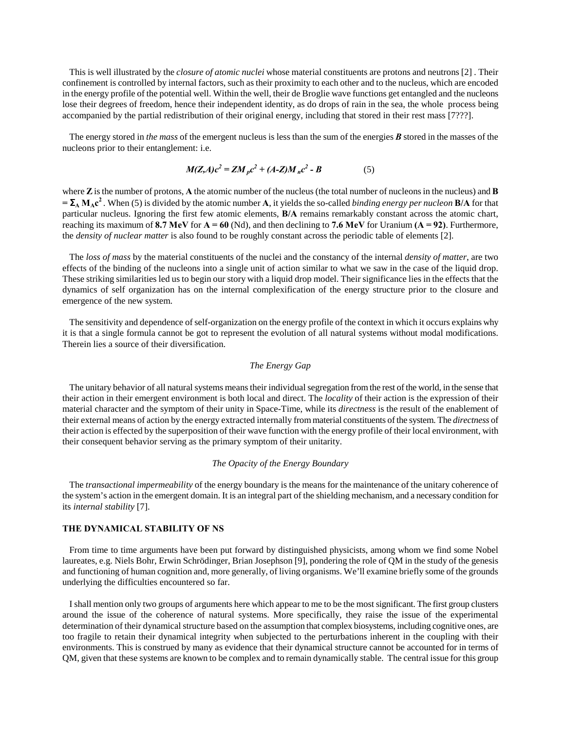This is well illustrated by the *closure of atomic nuclei* whose material constituents are protons and neutrons [2] . Their confinement is controlled by internal factors, such as their proximity to each other and to the nucleus, which are encoded in the energy profile of the potential well. Within the well, their de Broglie wave functions get entangled and the nucleons lose their degrees of freedom, hence their independent identity, as do drops of rain in the sea, the whole process being accompanied by the partial redistribution of their original energy, including that stored in their rest mass [7???].

 The energy stored in *the mass* of the emergent nucleus is less than the sum of the energies *B* stored in the masses of the nucleons prior to their entanglement: i.e.

$$
M(Z,A)c^{2} = ZM_{p}c^{2} + (A-Z)M_{n}c^{2} - B
$$
 (5)

where **Z** is the number of protons, **A** the atomic number of the nucleus (the total number of nucleons in the nucleus) and **B =** Σ**A MAc <sup>2</sup>** . When (5) is divided by the atomic number **A**, it yields the so-called *binding energy per nucleon* **B/A** for that particular nucleus. Ignoring the first few atomic elements, **B/A** remains remarkably constant across the atomic chart, reaching its maximum of **8.7 MeV** for  $A = 60$  (Nd), and then declining to **7.6 MeV** for Uranium  $(A = 92)$ . Furthermore, the *density of nuclear matter* is also found to be roughly constant across the periodic table of elements [2].

 The *loss of mass* by the material constituents of the nuclei and the constancy of the internal *density of matter*, are two effects of the binding of the nucleons into a single unit of action similar to what we saw in the case of the liquid drop. These striking similarities led us to begin our story with a liquid drop model. Their significance lies in the effects that the dynamics of self organization has on the internal complexification of the energy structure prior to the closure and emergence of the new system.

 The sensitivity and dependence of self-organization on the energy profile of the context in which it occurs explains why it is that a single formula cannot be got to represent the evolution of all natural systems without modal modifications. Therein lies a source of their diversification.

## *The Energy Gap*

 The unitary behavior of all natural systems means their individual segregation from the rest of the world, in the sense that their action in their emergent environment is both local and direct. The *locality* of their action is the expression of their material character and the symptom of their unity in Space-Time, while its *directness* is the result of the enablement of their external means of action by the energy extracted internally from material constituents of the system. The *directness* of their action is effected by the superposition of their wave function with the energy profile of their local environment, with their consequent behavior serving as the primary symptom of their unitarity.

#### *The Opacity of the Energy Boundary*

 The *transactional impermeability* of the energy boundary is the means for the maintenance of the unitary coherence of the system's action in the emergent domain. It is an integral part of the shielding mechanism, and a necessary condition for its *internal stability* [7].

#### **THE DYNAMICAL STABILITY OF NS**

 From time to time arguments have been put forward by distinguished physicists, among whom we find some Nobel laureates, e.g. Niels Bohr, Erwin Schrödinger, Brian Josephson [9], pondering the role of QM in the study of the genesis and functioning of human cognition and, more generally, of living organisms. We'll examine briefly some of the grounds underlying the difficulties encountered so far.

 I shall mention only two groups of arguments here which appear to me to be the most significant. The first group clusters around the issue of the coherence of natural systems. More specifically, they raise the issue of the experimental determination of their dynamical structure based on the assumption that complex biosystems, including cognitive ones, are too fragile to retain their dynamical integrity when subjected to the perturbations inherent in the coupling with their environments. This is construed by many as evidence that their dynamical structure cannot be accounted for in terms of QM, given that these systems are known to be complex and to remain dynamically stable. The central issue for this group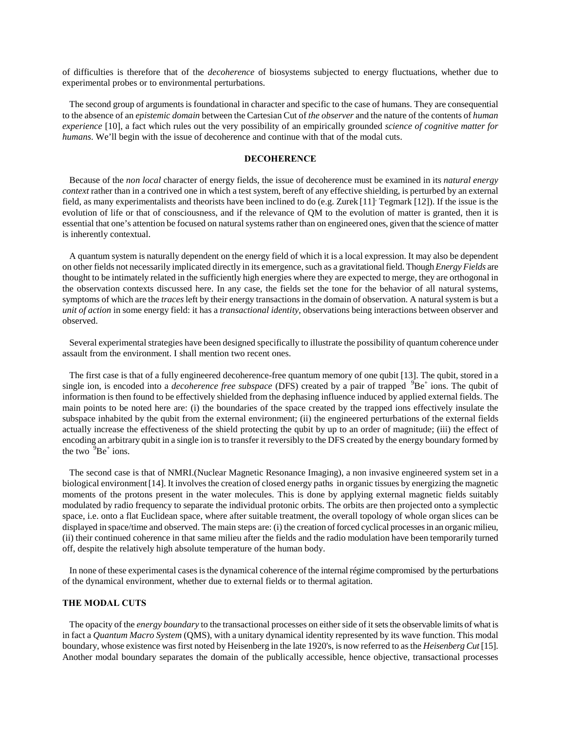of difficulties is therefore that of the *decoherence* of biosystems subjected to energy fluctuations, whether due to experimental probes or to environmental perturbations.

 The second group of arguments is foundational in character and specific to the case of humans. They are consequential to the absence of an *epistemic domain* between the Cartesian Cut of *the observer* and the nature of the contents of *human experience* [10], a fact which rules out the very possibility of an empirically grounded *science of cognitive matter for humans*. We'll begin with the issue of decoherence and continue with that of the modal cuts.

#### **DECOHERENCE**

 Because of the *non local* character of energy fields, the issue of decoherence must be examined in its *natural energy context* rather than in a contrived one in which a test system, bereft of any effective shielding, is perturbed by an external field, as many experimentalists and theorists have been inclined to do (e.g. Zurek [11] Tegmark [12]). If the issue is the evolution of life or that of consciousness, and if the relevance of QM to the evolution of matter is granted, then it is essential that one's attention be focused on natural systems rather than on engineered ones, given that the science of matter is inherently contextual.

 A quantum system is naturally dependent on the energy field of which it is a local expression. It may also be dependent on other fields not necessarily implicated directly in its emergence, such as a gravitational field. Though *Energy Fields* are thought to be intimately related in the sufficiently high energies where they are expected to merge, they are orthogonal in the observation contexts discussed here. In any case, the fields set the tone for the behavior of all natural systems, symptoms of which are the *traces* left by their energy transactions in the domain of observation. A natural system is but a *unit of action* in some energy field: it has a *transactional identity*, observations being interactions between observer and observed.

 Several experimental strategies have been designed specifically to illustrate the possibility of quantum coherence under assault from the environment. I shall mention two recent ones.

 The first case is that of a fully engineered decoherence-free quantum memory of one qubit [13]. The qubit, stored in a single ion, is encoded into a *decoherence free subspace* (DFS) created by a pair of trapped <sup>9</sup>Be<sup>+</sup> ions. The qubit of information is then found to be effectively shielded from the dephasing influence induced by applied external fields. The main points to be noted here are: (i) the boundaries of the space created by the trapped ions effectively insulate the subspace inhabited by the qubit from the external environment; (ii) the engineered perturbations of the external fields actually increase the effectiveness of the shield protecting the qubit by up to an order of magnitude; (iii) the effect of encoding an arbitrary qubit in a single ion is to transfer it reversibly to the DFS created by the energy boundary formed by the two  $\overline{9}Be^{+}$  ions.

 The second case is that of NMRI.(Nuclear Magnetic Resonance Imaging), a non invasive engineered system set in a biological environment[14]. It involves the creation of closed energy paths in organic tissues by energizing the magnetic moments of the protons present in the water molecules. This is done by applying external magnetic fields suitably modulated by radio frequency to separate the individual protonic orbits. The orbits are then projected onto a symplectic space, i.e. onto a flat Euclidean space, where after suitable treatment, the overall topology of whole organ slices can be displayed in space/time and observed. The main steps are: (i) the creation of forced cyclical processes in an organic milieu, (ii) their continued coherence in that same milieu after the fields and the radio modulation have been temporarily turned off, despite the relatively high absolute temperature of the human body.

 In none of these experimental cases is the dynamical coherence of the internal régime compromised by the perturbations of the dynamical environment, whether due to external fields or to thermal agitation.

# **THE MODAL CUTS**

 The opacity of the *energy boundary* to the transactional processes on either side of it sets the observable limits of what is in fact a *Quantum Macro System* (QMS), with a unitary dynamical identity represented by its wave function. This modal boundary, whose existence was first noted by Heisenberg in the late 1920's, is now referred to as the *Heisenberg Cut* [15]. Another modal boundary separates the domain of the publically accessible, hence objective, transactional processes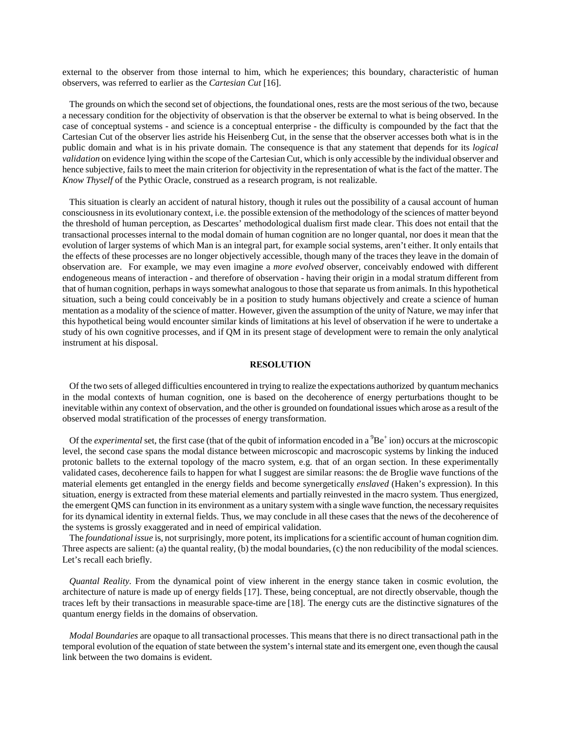external to the observer from those internal to him, which he experiences; this boundary, characteristic of human observers, was referred to earlier as the *Cartesian Cut* [16].

 The grounds on which the second set of objections, the foundational ones, rests are the most serious of the two, because a necessary condition for the objectivity of observation is that the observer be external to what is being observed. In the case of conceptual systems - and science is a conceptual enterprise - the difficulty is compounded by the fact that the Cartesian Cut of the observer lies astride his Heisenberg Cut, in the sense that the observer accesses both what is in the public domain and what is in his private domain. The consequence is that any statement that depends for its *logical validation* on evidence lying within the scope of the Cartesian Cut, which is only accessible by the individual observer and hence subjective, fails to meet the main criterion for objectivity in the representation of what is the fact of the matter. The *Know Thyself* of the Pythic Oracle, construed as a research program, is not realizable.

 This situation is clearly an accident of natural history, though it rules out the possibility of a causal account of human consciousness in its evolutionary context, i.e. the possible extension of the methodology of the sciences of matter beyond the threshold of human perception, as Descartes' methodological dualism first made clear. This does not entail that the transactional processes internal to the modal domain of human cognition are no longer quantal, nor does it mean that the evolution of larger systems of which Man is an integral part, for example social systems, aren't either. It only entails that the effects of these processes are no longer objectively accessible, though many of the traces they leave in the domain of observation are. For example, we may even imagine a *more evolved* observer, conceivably endowed with different endogeneous means of interaction - and therefore of observation - having their origin in a modal stratum different from that of human cognition, perhaps in ways somewhat analogous to those that separate us from animals. In this hypothetical situation, such a being could conceivably be in a position to study humans objectively and create a science of human mentation as a modality of the science of matter. However, given the assumption of the unity of Nature, we may infer that this hypothetical being would encounter similar kinds of limitations at his level of observation if he were to undertake a study of his own cognitive processes, and if QM in its present stage of development were to remain the only analytical instrument at his disposal.

#### **RESOLUTION**

 Of the two sets of alleged difficulties encountered in trying to realize the expectations authorized by quantum mechanics in the modal contexts of human cognition, one is based on the decoherence of energy perturbations thought to be inevitable within any context of observation, and the other is grounded on foundational issues which arose as a result of the observed modal stratification of the processes of energy transformation.

Of the *experimental* set, the first case (that of the qubit of information encoded in a  ${}^{9}Be^+$  ion) occurs at the microscopic level, the second case spans the modal distance between microscopic and macroscopic systems by linking the induced protonic ballets to the external topology of the macro system, e.g. that of an organ section. In these experimentally validated cases, decoherence fails to happen for what I suggest are similar reasons: the de Broglie wave functions of the material elements get entangled in the energy fields and become synergetically *enslaved* (Haken's expression). In this situation, energy is extracted from these material elements and partially reinvested in the macro system. Thus energized, the emergent QMS can function in its environment as a unitary system with a single wave function, the necessary requisites for its dynamical identity in external fields. Thus, we may conclude in all these cases that the news of the decoherence of the systems is grossly exaggerated and in need of empirical validation.

 The *foundational issue* is, not surprisingly, more potent, its implications for a scientific account of human cognition dim. Three aspects are salient: (a) the quantal reality, (b) the modal boundaries, (c) the non reducibility of the modal sciences. Let's recall each briefly.

 *Quantal Reality.* From the dynamical point of view inherent in the energy stance taken in cosmic evolution, the architecture of nature is made up of energy fields [17]. These, being conceptual, are not directly observable, though the traces left by their transactions in measurable space-time are [18]. The energy cuts are the distinctive signatures of the quantum energy fields in the domains of observation.

 *Modal Boundaries* are opaque to all transactional processes. This means that there is no direct transactional path in the temporal evolution of the equation of state between the system's internal state and its emergent one, even though the causal link between the two domains is evident.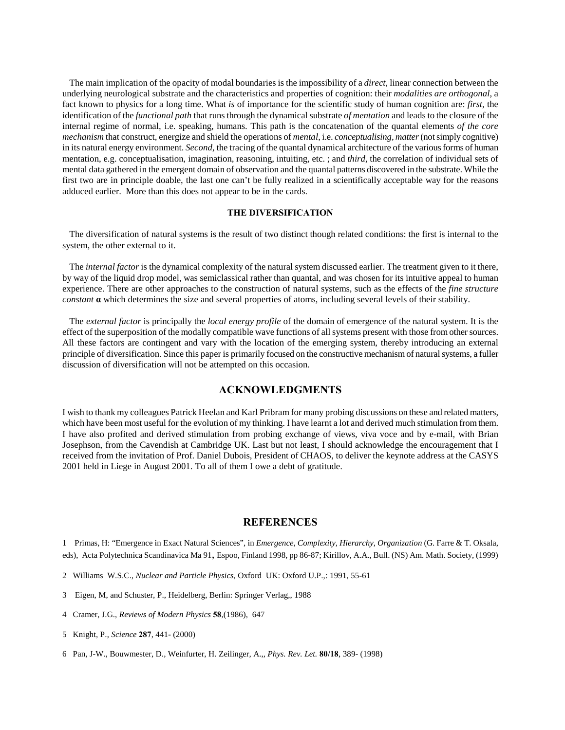The main implication of the opacity of modal boundaries is the impossibility of a *direct*, linear connection between the underlying neurological substrate and the characteristics and properties of cognition: their *modalities are orthogonal*, a fact known to physics for a long time. What *is* of importance for the scientific study of human cognition are: *first*, the identification of the *functional path* that runs through the dynamical substrate *of mentation* and leads to the closure of the internal regime of normal, i.e. speaking, humans. This path is the concatenation of the quantal elements *of the core mechanism* that construct, energize and shield the operations of *mental*, i.e. *conceptualising, matter* (not simply cognitive) in its natural energy environment. *Second*, the tracing of the quantal dynamical architecture of the various forms of human mentation, e.g. conceptualisation, imagination, reasoning, intuiting, etc. ; and *third*, the correlation of individual sets of mental data gathered in the emergent domain of observation and the quantal patterns discovered in the substrate. While the first two are in principle doable, the last one can't be fully realized in a scientifically acceptable way for the reasons adduced earlier. More than this does not appear to be in the cards.

#### **THE DIVERSIFICATION**

 The diversification of natural systems is the result of two distinct though related conditions: the first is internal to the system, the other external to it.

 The *internal factor* is the dynamical complexity of the natural system discussed earlier. The treatment given to it there, by way of the liquid drop model, was semiclassical rather than quantal, and was chosen for its intuitive appeal to human experience. There are other approaches to the construction of natural systems, such as the effects of the *fine structure constant* **α** which determines the size and several properties of atoms, including several levels of their stability.

 The *external factor* is principally the *local energy profile* of the domain of emergence of the natural system. It is the effect of the superposition of the modally compatible wave functions of all systems present with those from other sources. All these factors are contingent and vary with the location of the emerging system, thereby introducing an external principle of diversification. Since this paper is primarily focused on the constructive mechanism of natural systems, a fuller discussion of diversification will not be attempted on this occasion.

## **ACKNOWLEDGMENTS**

I wish to thank my colleagues Patrick Heelan and Karl Pribram for many probing discussions on these and related matters, which have been most useful for the evolution of my thinking. I have learnt a lot and derived much stimulation from them. I have also profited and derived stimulation from probing exchange of views, viva voce and by e-mail, with Brian Josephson, from the Cavendish at Cambridge UK. Last but not least, I should acknowledge the encouragement that I received from the invitation of Prof. Daniel Dubois, President of CHAOS, to deliver the keynote address at the CASYS 2001 held in Liege in August 2001. To all of them I owe a debt of gratitude.

### **REFERENCES**

1 Primas, H: "Emergence in Exact Natural Sciences", in *Emergence, Complexity, Hierarchy, Organization* (G. Farre & T. Oksala, eds), Acta Polytechnica Scandinavica Ma 91, Espoo, Finland 1998, pp 86-87; Kirillov, A.A., Bull. (NS) Am. Math. Society, (1999)

- 2 Williams W.S.C., *Nuclear and Particle Physics,* Oxford UK: Oxford U.P.,: 1991, 55-61
- 3 Eigen, M, and Schuster, P., Heidelberg, Berlin: Springer Verlag,, 1988
- 4 Cramer, J.G., *Reviews of Modern Physics* **58**,(1986), 647
- 5 Knight, P., *Science* **287**, 441- (2000)
- 6 Pan, J-W., Bouwmester, D., Weinfurter, H. Zeilinger, A.,*, Phys. Rev. Let.* **80/18**, 389- (1998)